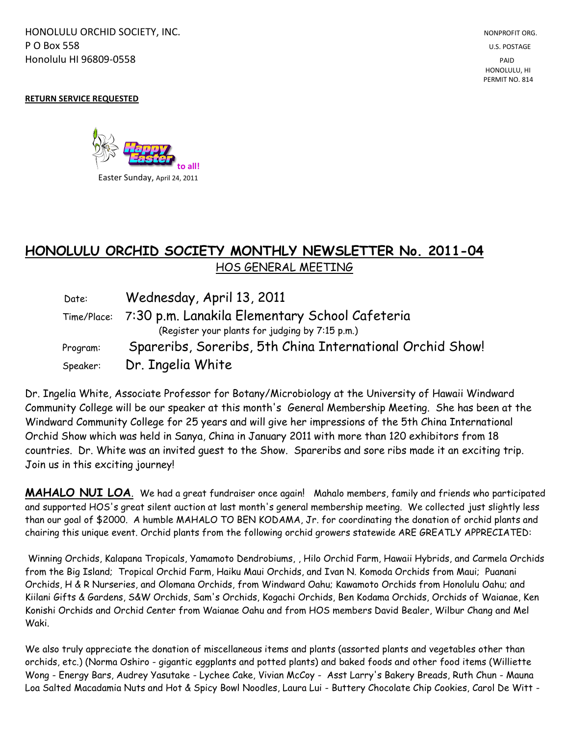HONOLULU ORCHID SOCIETY, INC. NONPROFIT ORG. NONPROFIT ORG. **P O Box 558** U.S. POSTAGE Honolulu HI 96809-0558 PAID

## **RETURN SERVICE REQUESTED**



## **HONOLULU ORCHID SOCIETY MONTHLY NEWSLETTER No. 2011-04**  HOS GENERAL MEETING

Date: Wednesday, April 13, 2011 Time/Place: 7:30 p.m. Lanakila Elementary School Cafeteria (Register your plants for judging by 7:15 p.m.) Program: Spareribs, Soreribs, 5th China International Orchid Show! Speaker: Dr. Ingelia White

Dr. Ingelia White, Associate Professor for Botany/Microbiology at the University of Hawaii Windward Community College will be our speaker at this month's General Membership Meeting. She has been at the Windward Community College for 25 years and will give her impressions of the 5th China International Orchid Show which was held in Sanya, China in January 2011 with more than 120 exhibitors from 18 countries. Dr. White was an invited guest to the Show. Spareribs and sore ribs made it an exciting trip. Join us in this exciting journey!

**MAHALO NUI LOA**. We had a great fundraiser once again! Mahalo members, family and friends who participated and supported HOS's great silent auction at last month's general membership meeting. We collected just slightly less than our goal of \$2000. A humble MAHALO TO BEN KODAMA, Jr. for coordinating the donation of orchid plants and chairing this unique event. Orchid plants from the following orchid growers statewide ARE GREATLY APPRECIATED:

Winning Orchids, Kalapana Tropicals, Yamamoto Dendrobiums, , Hilo Orchid Farm, Hawaii Hybrids, and Carmela Orchids from the Big Island; Tropical Orchid Farm, Haiku Maui Orchids, and Ivan N. Komoda Orchids from Maui; Puanani Orchids, H & R Nurseries, and Olomana Orchids, from Windward Oahu; Kawamoto Orchids from Honolulu Oahu; and Kiilani Gifts & Gardens, S&W Orchids, Sam's Orchids, Kogachi Orchids, Ben Kodama Orchids, Orchids of Waianae, Ken Konishi Orchids and Orchid Center from Waianae Oahu and from HOS members David Bealer, Wilbur Chang and Mel Waki.

We also truly appreciate the donation of miscellaneous items and plants (assorted plants and vegetables other than orchids, etc.) (Norma Oshiro - gigantic eggplants and potted plants) and baked foods and other food items (Williette Wong - Energy Bars, Audrey Yasutake - Lychee Cake, Vivian McCoy - Asst Larry's Bakery Breads, Ruth Chun - Mauna Loa Salted Macadamia Nuts and Hot & Spicy Bowl Noodles, Laura Lui - Buttery Chocolate Chip Cookies, Carol De Witt -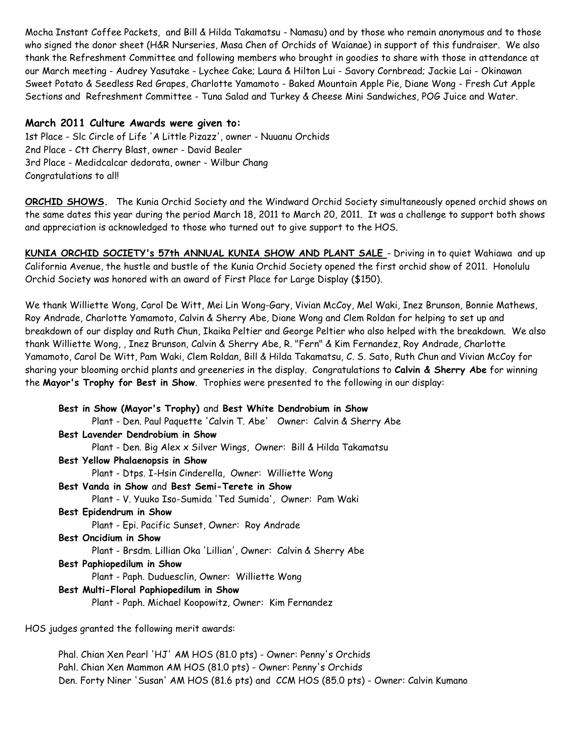Mocha Instant Coffee Packets, and Bill & Hilda Takamatsu - Namasu) and by those who remain anonymous and to those who signed the donor sheet (H&R Nurseries, Masa Chen of Orchids of Waianae) in support of this fundraiser. We also thank the Refreshment Committee and following members who brought in goodies to share with those in attendance at our March meeting - Audrey Yasutake - Lychee Cake; Laura & Hilton Lui - Savory Cornbread; Jackie Lai - Okinawan Sweet Potato & Seedless Red Grapes, Charlotte Yamamoto - Baked Mountain Apple Pie, Diane Wong - Fresh Cut Apple Sections and Refreshment Committee - Tuna Salad and Turkey & Cheese Mini Sandwiches, POG Juice and Water.

## **March 2011 Culture Awards were given to:**

1st Place - Slc Circle of Life 'A Little Pizazz', owner - Nuuanu Orchids 2nd Place - Ctt Cherry Blast, owner - David Bealer 3rd Place - Medidcalcar dedorata, owner - Wilbur Chang Congratulations to all!

**ORCHID SHOWS.** The Kunia Orchid Society and the Windward Orchid Society simultaneously opened orchid shows on the same dates this year during the period March 18, 2011 to March 20, 2011. It was a challenge to support both shows and appreciation is acknowledged to those who turned out to give support to the HOS.

**KUNIA ORCHID SOCIETY's 57th ANNUAL KUNIA SHOW AND PLANT SALE** - Driving in to quiet Wahiawa and up California Avenue, the hustle and bustle of the Kunia Orchid Society opened the first orchid show of 2011. Honolulu Orchid Society was honored with an award of First Place for Large Display (\$150).

We thank Williette Wong, Carol De Witt, Mei Lin Wong-Gary, Vivian McCoy, Mel Waki, Inez Brunson, Bonnie Mathews, Roy Andrade, Charlotte Yamamoto, Calvin & Sherry Abe, Diane Wong and Clem Roldan for helping to set up and breakdown of our display and Ruth Chun, Ikaika Peltier and George Peltier who also helped with the breakdown. We also thank Williette Wong, , Inez Brunson, Calvin & Sherry Abe, R. "Fern" & Kim Fernandez, Roy Andrade, Charlotte Yamamoto, Carol De Witt, Pam Waki, Clem Roldan, Bill & Hilda Takamatsu, C. S. Sato, Ruth Chun and Vivian McCoy for sharing your blooming orchid plants and greeneries in the display. Congratulations to **Calvin & Sherry Abe** for winning the **Mayor's Trophy for Best in Show**. Trophies were presented to the following in our display:

**Best in Show (Mayor's Trophy)** and **Best White Dendrobium in Show**  Plant - Den. Paul Paquette 'Calvin T. Abe' Owner: Calvin & Sherry Abe **Best Lavender Dendrobium in Show** Plant - Den. Big Alex x Silver Wings, Owner: Bill & Hilda Takamatsu **Best Yellow Phalaenopsis in Show** Plant - Dtps. I-Hsin Cinderella, Owner: Williette Wong **Best Vanda in Show** and **Best Semi-Terete in Show** Plant - V. Yuuko Iso-Sumida 'Ted Sumida', Owner: Pam Waki **Best Epidendrum in Show** Plant - Epi. Pacific Sunset, Owner: Roy Andrade **Best Oncidium in Show** Plant - Brsdm. Lillian Oka 'Lillian', Owner: Calvin & Sherry Abe **Best Paphiopedilum in Show** Plant - Paph. Duduesclin, Owner: Williette Wong **Best Multi-Floral Paphiopedilum in Show** Plant - Paph. Michael Koopowitz, Owner: Kim Fernandez HOS judges granted the following merit awards:

Phal. Chian Xen Pearl 'HJ' AM HOS (81.0 pts) - Owner: Penny's Orchids Pahl. Chian Xen Mammon AM HOS (81.0 pts) - Owner: Penny's Orchids Den. Forty Niner 'Susan' AM HOS (81.6 pts) and CCM HOS (85.0 pts) - Owner: Calvin Kumano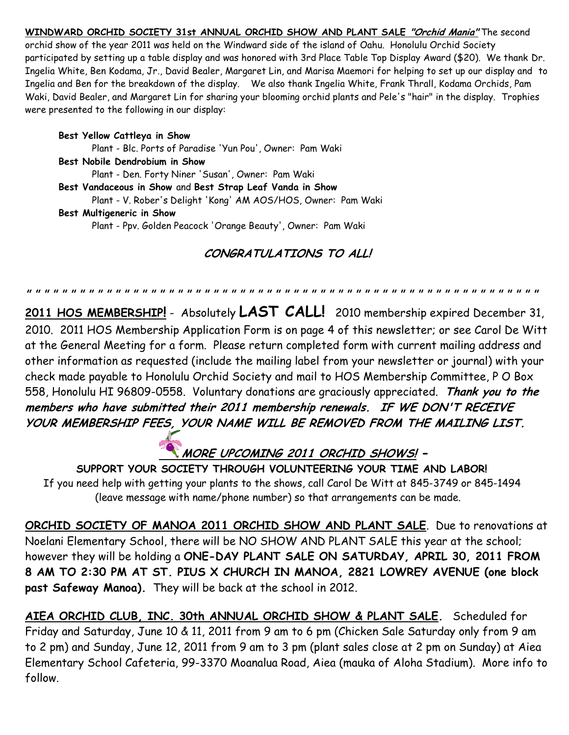**WINDWARD ORCHID SOCIETY 31st ANNUAL ORCHID SHOW AND PLANT SALE "Orchid Mania"** The second orchid show of the year 2011 was held on the Windward side of the island of Oahu. Honolulu Orchid Society participated by setting up a table display and was honored with 3rd Place Table Top Display Award (\$20). We thank Dr. Ingelia White, Ben Kodama, Jr., David Bealer, Margaret Lin, and Marisa Maemori for helping to set up our display and to Ingelia and Ben for the breakdown of the display. We also thank Ingelia White, Frank Thrall, Kodama Orchids, Pam Waki, David Bealer, and Margaret Lin for sharing your blooming orchid plants and Pele's "hair" in the display. Trophies were presented to the following in our display:

**Best Yellow Cattleya in Show** Plant - Blc. Ports of Paradise 'Yun Pou', Owner: Pam Waki **Best Nobile Dendrobium in Show** Plant - Den. Forty Niner 'Susan', Owner: Pam Waki **Best Vandaceous in Show** and **Best Strap Leaf Vanda in Show** Plant - V. Rober's Delight 'Kong' AM AOS/HOS, Owner: Pam Waki **Best Multigeneric in Show**

Plant - Ppv. Golden Peacock 'Orange Beauty', Owner: Pam Waki

## **CONGRATULATIONS TO ALL!**

**" " " " " " " " " " " " " " " " " " " " " " " " " " " " " " " " " " " " " " " " " " " " " " " " " " " " " " " " " "** 

**2011 HOS MEMBERSHIP!** - Absolutely **LAST CALL!** 2010 membership expired December 31, 2010. 2011 HOS Membership Application Form is on page 4 of this newsletter; or see Carol De Witt at the General Meeting for a form. Please return completed form with current mailing address and other information as requested (include the mailing label from your newsletter or journal) with your check made payable to Honolulu Orchid Society and mail to HOS Membership Committee, P O Box 558, Honolulu HI 96809-0558. Voluntary donations are graciously appreciated. **Thank you to the members who have submitted their 2011 membership renewals. IF WE DON'T RECEIVE YOUR MEMBERSHIP FEES, YOUR NAME WILL BE REMOVED FROM THE MAILING LIST.**

**MORE UPCOMING 2011 ORCHID SHOWS! -**

 **SUPPORT YOUR SOCIETY THROUGH VOLUNTEERING YOUR TIME AND LABOR!** If you need help with getting your plants to the shows, call Carol De Witt at 845-3749 or 845-1494 (leave message with name/phone number) so that arrangements can be made.

**ORCHID SOCIETY OF MANOA 2011 ORCHID SHOW AND PLANT SALE**. Due to renovations at Noelani Elementary School, there will be NO SHOW AND PLANT SALE this year at the school; however they will be holding a **ONE-DAY PLANT SALE ON SATURDAY, APRIL 30, 2011 FROM 8 AM TO 2:30 PM AT ST. PIUS X CHURCH IN MANOA, 2821 LOWREY AVENUE (one block past Safeway Manoa).** They will be back at the school in 2012.

**AIEA ORCHID CLUB, INC. 30th ANNUAL ORCHID SHOW & PLANT SALE.** Scheduled for Friday and Saturday, June 10 & 11, 2011 from 9 am to 6 pm (Chicken Sale Saturday only from 9 am to 2 pm) and Sunday, June 12, 2011 from 9 am to 3 pm (plant sales close at 2 pm on Sunday) at Aiea Elementary School Cafeteria, 99-3370 Moanalua Road, Aiea (mauka of Aloha Stadium). More info to follow.